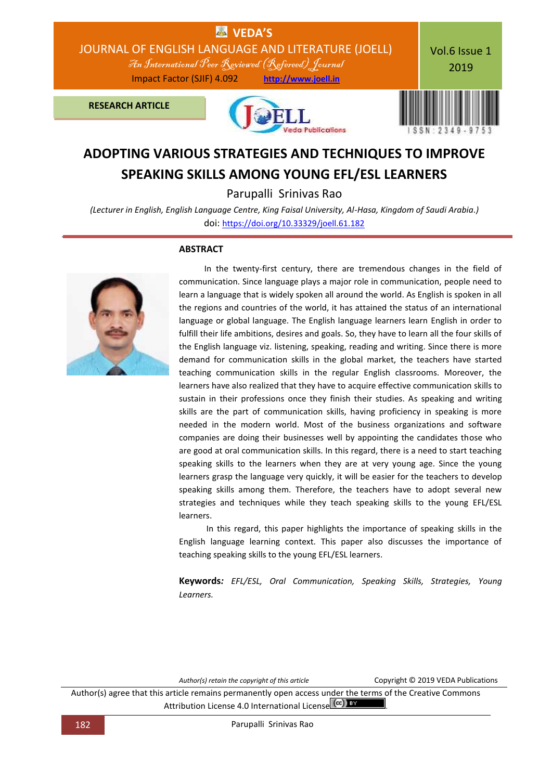

# **ADOPTING VARIOUS STRATEGIES AND TECHNIQUES TO IMPROVE SPEAKING SKILLS AMONG YOUNG EFL/ESL LEARNERS**

Parupalli Srinivas Rao

*(Lecturer in English, English Language Centre, King Faisal University, Al-Hasa, Kingdom of Saudi Arabia.)* doi: [https://doi.org/10.33329/joell.61.182](http://joell.in/vol-6-issue-1-2019/)

### **ABSTRACT**



 In the twenty-first century, there are tremendous changes in the field of communication. Since language plays a major role in communication, people need to learn a language that is widely spoken all around the world. As English is spoken in all the regions and countries of the world, it has attained the status of an international language or global language. The English language learners learn English in order to fulfill their life ambitions, desires and goals. So, they have to learn all the four skills of the English language viz. listening, speaking, reading and writing. Since there is more demand for communication skills in the global market, the teachers have started teaching communication skills in the regular English classrooms. Moreover, the learners have also realized that they have to acquire effective communication skills to sustain in their professions once they finish their studies. As speaking and writing skills are the part of communication skills, having proficiency in speaking is more needed in the modern world. Most of the business organizations and software companies are doing their businesses well by appointing the candidates those who are good at oral communication skills. In this regard, there is a need to start teaching speaking skills to the learners when they are at very young age. Since the young learners grasp the language very quickly, it will be easier for the teachers to develop speaking skills among them. Therefore, the teachers have to adopt several new strategies and techniques while they teach speaking skills to the young EFL/ESL learners.

 In this regard, this paper highlights the importance of speaking skills in the English language learning context. This paper also discusses the importance of teaching speaking skills to the young EFL/ESL learners.

**Keywords***: EFL/ESL, Oral Communication, Speaking Skills, Strategies, Young Learners.*

*Author(s) retain the copyright of this article* Copyright © 2019 VEDA Publications

Author(s) agree that this article remains permanently open access under the terms of the Creative Commons Attribution License 4.0 International License (cc) EY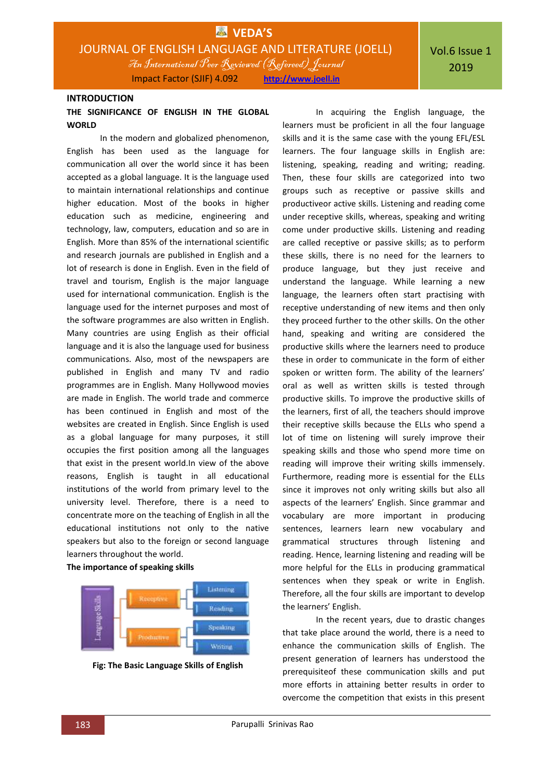### **INTRODUCTION**

### **THE SIGNIFICANCE OF ENGLISH IN THE GLOBAL WORLD**

In the modern and globalized phenomenon, English has been used as the language for communication all over the world since it has been accepted as a global language. It is the language used to maintain international relationships and continue higher education. Most of the books in higher education such as medicine, engineering and technology, law, computers, education and so are in English. More than 85% of the international scientific and research journals are published in English and a lot of research is done in English. Even in the field of travel and tourism, English is the major language used for international communication. English is the language used for the internet purposes and most of the software programmes are also written in English. Many countries are using English as their official language and it is also the language used for business communications. Also, most of the newspapers are published in English and many TV and radio programmes are in English. Many Hollywood movies are made in English. The world trade and commerce has been continued in English and most of the websites are created in English. Since English is used as a global language for many purposes, it still occupies the first position among all the languages that exist in the present world.In view of the above reasons, English is taught in all educational institutions of the world from primary level to the university level. Therefore, there is a need to concentrate more on the teaching of English in all the educational institutions not only to the native speakers but also to the foreign or second language learners throughout the world.

#### **The importance of speaking skills**



**Fig: The Basic Language Skills of English**

In acquiring the English language, the learners must be proficient in all the four language skills and it is the same case with the young EFL/ESL learners. The four language skills in English are: listening, speaking, reading and writing; reading. Then, these four skills are categorized into two groups such as receptive or passive skills and productiveor active skills. Listening and reading come under receptive skills, whereas, speaking and writing come under productive skills. Listening and reading are called receptive or passive skills; as to perform these skills, there is no need for the learners to produce language, but they just receive and understand the language. While learning a new language, the learners often start practising with receptive understanding of new items and then only they proceed further to the other skills. On the other hand, speaking and writing are considered the productive skills where the learners need to produce these in order to communicate in the form of either spoken or written form. The ability of the learners' oral as well as written skills is tested through productive skills. To improve the productive skills of the learners, first of all, the teachers should improve their receptive skills because the ELLs who spend a lot of time on listening will surely improve their speaking skills and those who spend more time on reading will improve their writing skills immensely. Furthermore, reading more is essential for the ELLs since it improves not only writing skills but also all aspects of the learners' English. Since grammar and vocabulary are more important in producing sentences, learners learn new vocabulary and grammatical structures through listening and reading. Hence, learning listening and reading will be more helpful for the ELLs in producing grammatical sentences when they speak or write in English. Therefore, all the four skills are important to develop the learners' English.

In the recent years, due to drastic changes that take place around the world, there is a need to enhance the communication skills of English. The present generation of learners has understood the prerequisiteof these communication skills and put more efforts in attaining better results in order to overcome the competition that exists in this present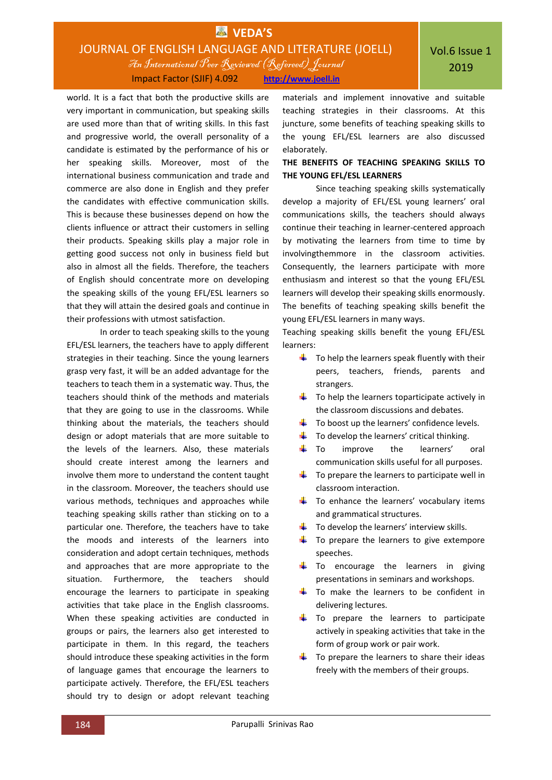world. It is a fact that both the productive skills are very important in communication, but speaking skills are used more than that of writing skills. In this fast and progressive world, the overall personality of a candidate is estimated by the performance of his or her speaking skills. Moreover, most of the international business communication and trade and commerce are also done in English and they prefer the candidates with effective communication skills. This is because these businesses depend on how the clients influence or attract their customers in selling their products. Speaking skills play a major role in getting good success not only in business field but also in almost all the fields. Therefore, the teachers of English should concentrate more on developing the speaking skills of the young EFL/ESL learners so that they will attain the desired goals and continue in their professions with utmost satisfaction.

In order to teach speaking skills to the young EFL/ESL learners, the teachers have to apply different strategies in their teaching. Since the young learners grasp very fast, it will be an added advantage for the teachers to teach them in a systematic way. Thus, the teachers should think of the methods and materials that they are going to use in the classrooms. While thinking about the materials, the teachers should design or adopt materials that are more suitable to the levels of the learners. Also, these materials should create interest among the learners and involve them more to understand the content taught in the classroom. Moreover, the teachers should use various methods, techniques and approaches while teaching speaking skills rather than sticking on to a particular one. Therefore, the teachers have to take the moods and interests of the learners into consideration and adopt certain techniques, methods and approaches that are more appropriate to the situation. Furthermore, the teachers should encourage the learners to participate in speaking activities that take place in the English classrooms. When these speaking activities are conducted in groups or pairs, the learners also get interested to participate in them. In this regard, the teachers should introduce these speaking activities in the form of language games that encourage the learners to participate actively. Therefore, the EFL/ESL teachers should try to design or adopt relevant teaching

materials and implement innovative and suitable teaching strategies in their classrooms. At this juncture, some benefits of teaching speaking skills to the young EFL/ESL learners are also discussed elaborately.

### **THE BENEFITS OF TEACHING SPEAKING SKILLS TO THE YOUNG EFL/ESL LEARNERS**

Since teaching speaking skills systematically develop a majority of EFL/ESL young learners' oral communications skills, the teachers should always continue their teaching in learner-centered approach by motivating the learners from time to time by involvingthemmore in the classroom activities. Consequently, the learners participate with more enthusiasm and interest so that the young EFL/ESL learners will develop their speaking skills enormously. The benefits of teaching speaking skills benefit the young EFL/ESL learners in many ways.

Teaching speaking skills benefit the young EFL/ESL learners:

- $\downarrow$  To help the learners speak fluently with their peers, teachers, friends, parents and strangers.
- $\ddot{\bullet}$  To help the learners toparticipate actively in the classroom discussions and debates.
- $\ddot{\bullet}$  To boost up the learners' confidence levels.
- $\ddot{\phantom{1}}$  To develop the learners' critical thinking.
- $\downarrow$  To improve the learners' oral communication skills useful for all purposes.
- $\downarrow$  To prepare the learners to participate well in classroom interaction.
- $\downarrow$  To enhance the learners' vocabulary items and grammatical structures.
- $\downarrow$  To develop the learners' interview skills.
- $\overline{\phantom{a}}$  To prepare the learners to give extempore speeches.
- $\downarrow$  To encourage the learners in giving presentations in seminars and workshops.
- $\ddot{\bullet}$  To make the learners to be confident in delivering lectures.
- $\ddot{\bullet}$  To prepare the learners to participate actively in speaking activities that take in the form of group work or pair work.
- $\downarrow$  To prepare the learners to share their ideas freely with the members of their groups.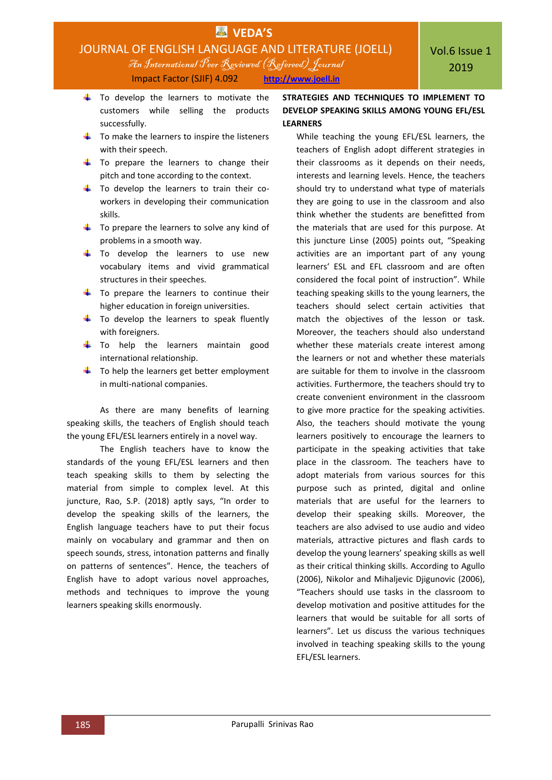

Impact Factor (SJIF) 4.092 **[http://www.joell.in](http://www.joell.in/)**

- $\frac{1}{\sqrt{2}}$  To develop the learners to motivate the customers while selling the products successfully.
- $\frac{1}{\sqrt{2}}$  To make the learners to inspire the listeners with their speech.
- $\downarrow$  To prepare the learners to change their pitch and tone according to the context.
- $\frac{1}{\sqrt{2}}$  To develop the learners to train their coworkers in developing their communication skills.
- $\ddot{\phantom{1}}$  To prepare the learners to solve any kind of problems in a smooth way.
- $\frac{1}{2}$  To develop the learners to use new vocabulary items and vivid grammatical structures in their speeches.
- $\downarrow$  To prepare the learners to continue their higher education in foreign universities.
- $\ddot{+}$  To develop the learners to speak fluently with foreigners.
- $\downarrow$  To help the learners maintain good international relationship.
- $\frac{1}{\sqrt{2}}$  To help the learners get better employment in multi-national companies.

As there are many benefits of learning speaking skills, the teachers of English should teach the young EFL/ESL learners entirely in a novel way.

The English teachers have to know the standards of the young EFL/ESL learners and then teach speaking skills to them by selecting the material from simple to complex level. At this juncture, Rao, S.P. (2018) aptly says, "In order to develop the speaking skills of the learners, the English language teachers have to put their focus mainly on vocabulary and grammar and then on speech sounds, stress, intonation patterns and finally on patterns of sentences". Hence, the teachers of English have to adopt various novel approaches, methods and techniques to improve the young learners speaking skills enormously.

### **STRATEGIES AND TECHNIQUES TO IMPLEMENT TO DEVELOP SPEAKING SKILLS AMONG YOUNG EFL/ESL LEARNERS**

While teaching the young EFL/ESL learners, the teachers of English adopt different strategies in their classrooms as it depends on their needs, interests and learning levels. Hence, the teachers should try to understand what type of materials they are going to use in the classroom and also think whether the students are benefitted from the materials that are used for this purpose. At this juncture Linse (2005) points out, "Speaking activities are an important part of any young learners' ESL and EFL classroom and are often considered the focal point of instruction". While teaching speaking skills to the young learners, the teachers should select certain activities that match the objectives of the lesson or task. Moreover, the teachers should also understand whether these materials create interest among the learners or not and whether these materials are suitable for them to involve in the classroom activities. Furthermore, the teachers should try to create convenient environment in the classroom to give more practice for the speaking activities. Also, the teachers should motivate the young learners positively to encourage the learners to participate in the speaking activities that take place in the classroom. The teachers have to adopt materials from various sources for this purpose such as printed, digital and online materials that are useful for the learners to develop their speaking skills. Moreover, the teachers are also advised to use audio and video materials, attractive pictures and flash cards to develop the young learners' speaking skills as well as their critical thinking skills. According to Agullo (2006), Nikolor and Mihaljevic Djigunovic (2006), "Teachers should use tasks in the classroom to develop motivation and positive attitudes for the learners that would be suitable for all sorts of learners". Let us discuss the various techniques involved in teaching speaking skills to the young EFL/ESL learners.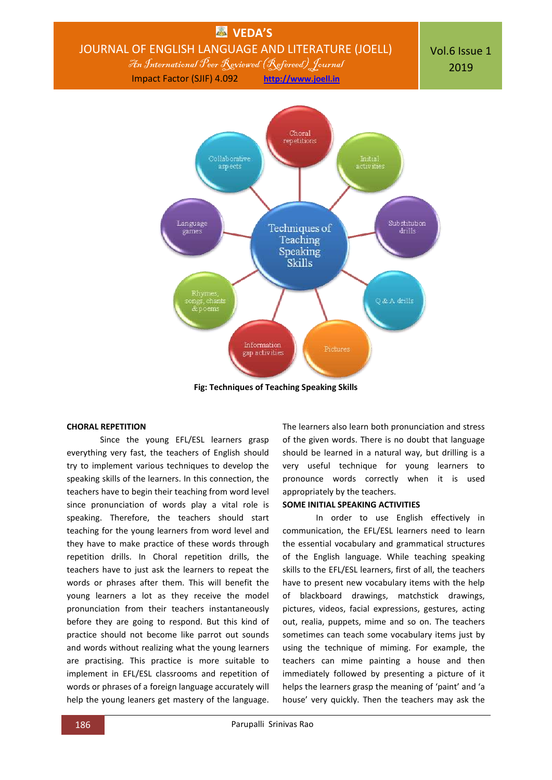

**Fig: Techniques of Teaching Speaking Skills**

### **CHORAL REPETITION**

Since the young EFL/ESL learners grasp everything very fast, the teachers of English should try to implement various techniques to develop the speaking skills of the learners. In this connection, the teachers have to begin their teaching from word level since pronunciation of words play a vital role is speaking. Therefore, the teachers should start teaching for the young learners from word level and they have to make practice of these words through repetition drills. In Choral repetition drills, the teachers have to just ask the learners to repeat the words or phrases after them. This will benefit the young learners a lot as they receive the model pronunciation from their teachers instantaneously before they are going to respond. But this kind of practice should not become like parrot out sounds and words without realizing what the young learners are practising. This practice is more suitable to implement in EFL/ESL classrooms and repetition of words or phrases of a foreign language accurately will help the young leaners get mastery of the language.

The learners also learn both pronunciation and stress of the given words. There is no doubt that language should be learned in a natural way, but drilling is a very useful technique for young learners to pronounce words correctly when it is used appropriately by the teachers.

### **SOME INITIAL SPEAKING ACTIVITIES**

In order to use English effectively in communication, the EFL/ESL learners need to learn the essential vocabulary and grammatical structures of the English language. While teaching speaking skills to the EFL/ESL learners, first of all, the teachers have to present new vocabulary items with the help of blackboard drawings, matchstick drawings, pictures, videos, facial expressions, gestures, acting out, realia, puppets, mime and so on. The teachers sometimes can teach some vocabulary items just by using the technique of miming. For example, the teachers can mime painting a house and then immediately followed by presenting a picture of it helps the learners grasp the meaning of 'paint' and 'a house' very quickly. Then the teachers may ask the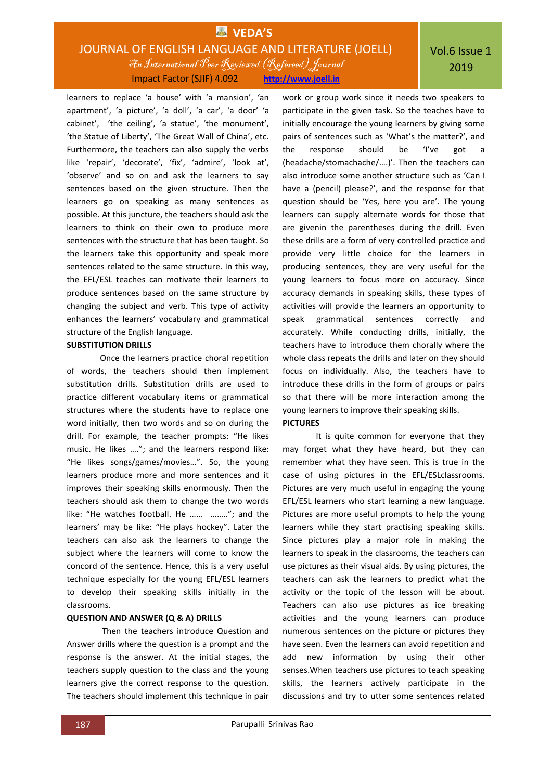learners to replace 'a house' with 'a mansion', 'an apartment', 'a picture', 'a doll', 'a car', 'a door' 'a cabinet', 'the ceiling', 'a statue', 'the monument', 'the Statue of Liberty', 'The Great Wall of China', etc. Furthermore, the teachers can also supply the verbs like 'repair', 'decorate', 'fix', 'admire', 'look at', 'observe' and so on and ask the learners to say sentences based on the given structure. Then the learners go on speaking as many sentences as possible. At this juncture, the teachers should ask the learners to think on their own to produce more sentences with the structure that has been taught. So the learners take this opportunity and speak more sentences related to the same structure. In this way, the EFL/ESL teaches can motivate their learners to produce sentences based on the same structure by changing the subject and verb. This type of activity enhances the learners' vocabulary and grammatical structure of the English language.

### **SUBSTITUTION DRILLS**

Once the learners practice choral repetition of words, the teachers should then implement substitution drills. Substitution drills are used to practice different vocabulary items or grammatical structures where the students have to replace one word initially, then two words and so on during the drill. For example, the teacher prompts: "He likes music. He likes …."; and the learners respond like: "He likes songs/games/movies…". So, the young learners produce more and more sentences and it improves their speaking skills enormously. Then the teachers should ask them to change the two words like: "He watches football. He …… …….."; and the learners' may be like: "He plays hockey". Later the teachers can also ask the learners to change the subject where the learners will come to know the concord of the sentence. Hence, this is a very useful technique especially for the young EFL/ESL learners to develop their speaking skills initially in the classrooms.

### **QUESTION AND ANSWER (Q & A) DRILLS**

Then the teachers introduce Question and Answer drills where the question is a prompt and the response is the answer. At the initial stages, the teachers supply question to the class and the young learners give the correct response to the question. The teachers should implement this technique in pair work or group work since it needs two speakers to participate in the given task. So the teaches have to initially encourage the young learners by giving some pairs of sentences such as 'What's the matter?', and the response should be 'I've got a (headache/stomachache/….)'. Then the teachers can also introduce some another structure such as 'Can I have a (pencil) please?', and the response for that question should be 'Yes, here you are'. The young learners can supply alternate words for those that are givenin the parentheses during the drill. Even these drills are a form of very controlled practice and provide very little choice for the learners in producing sentences, they are very useful for the young learners to focus more on accuracy. Since accuracy demands in speaking skills, these types of activities will provide the learners an opportunity to speak grammatical sentences correctly and accurately. While conducting drills, initially, the teachers have to introduce them chorally where the whole class repeats the drills and later on they should focus on individually. Also, the teachers have to introduce these drills in the form of groups or pairs so that there will be more interaction among the young learners to improve their speaking skills. **PICTURES**

### It is quite common for everyone that they may forget what they have heard, but they can remember what they have seen. This is true in the case of using pictures in the EFL/ESLclassrooms. Pictures are very much useful in engaging the young EFL/ESL learners who start learning a new language. Pictures are more useful prompts to help the young learners while they start practising speaking skills. Since pictures play a major role in making the learners to speak in the classrooms, the teachers can use pictures as their visual aids. By using pictures, the teachers can ask the learners to predict what the activity or the topic of the lesson will be about. Teachers can also use pictures as ice breaking activities and the young learners can produce numerous sentences on the picture or pictures they have seen. Even the learners can avoid repetition and add new information by using their other senses.When teachers use pictures to teach speaking skills, the learners actively participate in the discussions and try to utter some sentences related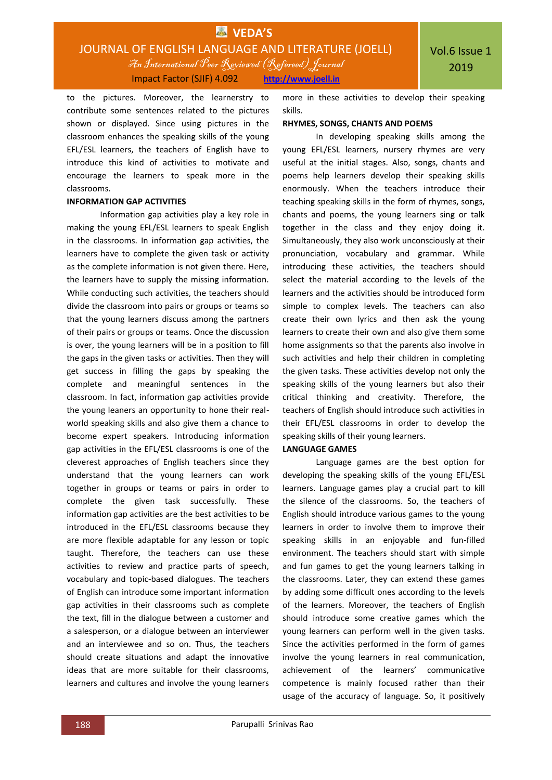to the pictures. Moreover, the learnerstry to contribute some sentences related to the pictures shown or displayed. Since using pictures in the classroom enhances the speaking skills of the young EFL/ESL learners, the teachers of English have to introduce this kind of activities to motivate and encourage the learners to speak more in the classrooms.

### **INFORMATION GAP ACTIVITIES**

Information gap activities play a key role in making the young EFL/ESL learners to speak English in the classrooms. In information gap activities, the learners have to complete the given task or activity as the complete information is not given there. Here, the learners have to supply the missing information. While conducting such activities, the teachers should divide the classroom into pairs or groups or teams so that the young learners discuss among the partners of their pairs or groups or teams. Once the discussion is over, the young learners will be in a position to fill the gaps in the given tasks or activities. Then they will get success in filling the gaps by speaking the complete and meaningful sentences in the classroom. In fact, information gap activities provide the young leaners an opportunity to hone their realworld speaking skills and also give them a chance to become expert speakers. Introducing information gap activities in the EFL/ESL classrooms is one of the cleverest approaches of English teachers since they understand that the young learners can work together in groups or teams or pairs in order to complete the given task successfully. These information gap activities are the best activities to be introduced in the EFL/ESL classrooms because they are more flexible adaptable for any lesson or topic taught. Therefore, the teachers can use these activities to review and practice parts of speech, vocabulary and topic-based dialogues. The teachers of English can introduce some important information gap activities in their classrooms such as complete the text, fill in the dialogue between a customer and a salesperson, or a dialogue between an interviewer and an interviewee and so on. Thus, the teachers should create situations and adapt the innovative ideas that are more suitable for their classrooms, learners and cultures and involve the young learners

more in these activities to develop their speaking skills.

#### **RHYMES, SONGS, CHANTS AND POEMS**

In developing speaking skills among the young EFL/ESL learners, nursery rhymes are very useful at the initial stages. Also, songs, chants and poems help learners develop their speaking skills enormously. When the teachers introduce their teaching speaking skills in the form of rhymes, songs, chants and poems, the young learners sing or talk together in the class and they enjoy doing it. Simultaneously, they also work unconsciously at their pronunciation, vocabulary and grammar. While introducing these activities, the teachers should select the material according to the levels of the learners and the activities should be introduced form simple to complex levels. The teachers can also create their own lyrics and then ask the young learners to create their own and also give them some home assignments so that the parents also involve in such activities and help their children in completing the given tasks. These activities develop not only the speaking skills of the young learners but also their critical thinking and creativity. Therefore, the teachers of English should introduce such activities in their EFL/ESL classrooms in order to develop the speaking skills of their young learners.

#### **LANGUAGE GAMES**

Language games are the best option for developing the speaking skills of the young EFL/ESL learners. Language games play a crucial part to kill the silence of the classrooms. So, the teachers of English should introduce various games to the young learners in order to involve them to improve their speaking skills in an enjoyable and fun-filled environment. The teachers should start with simple and fun games to get the young learners talking in the classrooms. Later, they can extend these games by adding some difficult ones according to the levels of the learners. Moreover, the teachers of English should introduce some creative games which the young learners can perform well in the given tasks. Since the activities performed in the form of games involve the young learners in real communication, achievement of the learners' communicative competence is mainly focused rather than their usage of the accuracy of language. So, it positively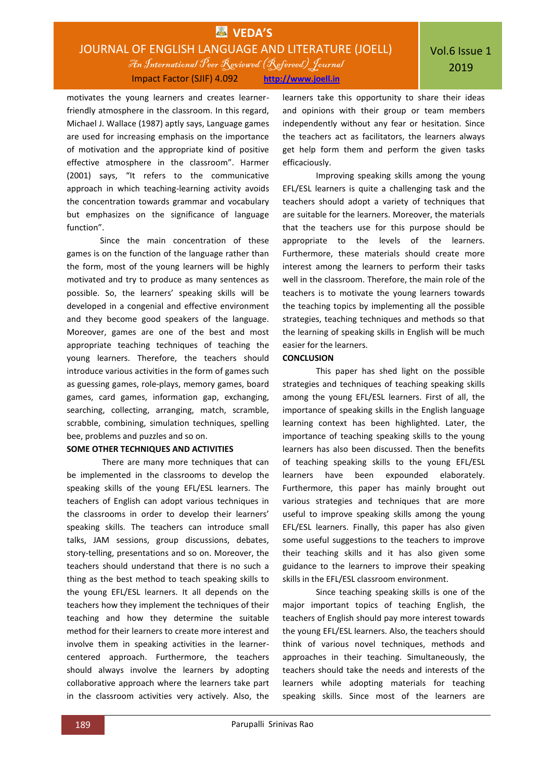motivates the young learners and creates learnerfriendly atmosphere in the classroom. In this regard, Michael J. Wallace (1987) aptly says, Language games are used for increasing emphasis on the importance of motivation and the appropriate kind of positive effective atmosphere in the classroom". Harmer (2001) says, "It refers to the communicative approach in which teaching-learning activity avoids the concentration towards grammar and vocabulary but emphasizes on the significance of language function".

Since the main concentration of these games is on the function of the language rather than the form, most of the young learners will be highly motivated and try to produce as many sentences as possible. So, the learners' speaking skills will be developed in a congenial and effective environment and they become good speakers of the language. Moreover, games are one of the best and most appropriate teaching techniques of teaching the young learners. Therefore, the teachers should introduce various activities in the form of games such as guessing games, role-plays, memory games, board games, card games, information gap, exchanging, searching, collecting, arranging, match, scramble, scrabble, combining, simulation techniques, spelling bee, problems and puzzles and so on.

#### **SOME OTHER TECHNIQUES AND ACTIVITIES**

There are many more techniques that can be implemented in the classrooms to develop the speaking skills of the young EFL/ESL learners. The teachers of English can adopt various techniques in the classrooms in order to develop their learners' speaking skills. The teachers can introduce small talks, JAM sessions, group discussions, debates, story-telling, presentations and so on. Moreover, the teachers should understand that there is no such a thing as the best method to teach speaking skills to the young EFL/ESL learners. It all depends on the teachers how they implement the techniques of their teaching and how they determine the suitable method for their learners to create more interest and involve them in speaking activities in the learnercentered approach. Furthermore, the teachers should always involve the learners by adopting collaborative approach where the learners take part in the classroom activities very actively. Also, the

learners take this opportunity to share their ideas and opinions with their group or team members independently without any fear or hesitation. Since the teachers act as facilitators, the learners always get help form them and perform the given tasks efficaciously.

Improving speaking skills among the young EFL/ESL learners is quite a challenging task and the teachers should adopt a variety of techniques that are suitable for the learners. Moreover, the materials that the teachers use for this purpose should be appropriate to the levels of the learners. Furthermore, these materials should create more interest among the learners to perform their tasks well in the classroom. Therefore, the main role of the teachers is to motivate the young learners towards the teaching topics by implementing all the possible strategies, teaching techniques and methods so that the learning of speaking skills in English will be much easier for the learners.

### **CONCLUSION**

This paper has shed light on the possible strategies and techniques of teaching speaking skills among the young EFL/ESL learners. First of all, the importance of speaking skills in the English language learning context has been highlighted. Later, the importance of teaching speaking skills to the young learners has also been discussed. Then the benefits of teaching speaking skills to the young EFL/ESL learners have been expounded elaborately. Furthermore, this paper has mainly brought out various strategies and techniques that are more useful to improve speaking skills among the young EFL/ESL learners. Finally, this paper has also given some useful suggestions to the teachers to improve their teaching skills and it has also given some guidance to the learners to improve their speaking skills in the EFL/ESL classroom environment.

Since teaching speaking skills is one of the major important topics of teaching English, the teachers of English should pay more interest towards the young EFL/ESL learners. Also, the teachers should think of various novel techniques, methods and approaches in their teaching. Simultaneously, the teachers should take the needs and interests of the learners while adopting materials for teaching speaking skills. Since most of the learners are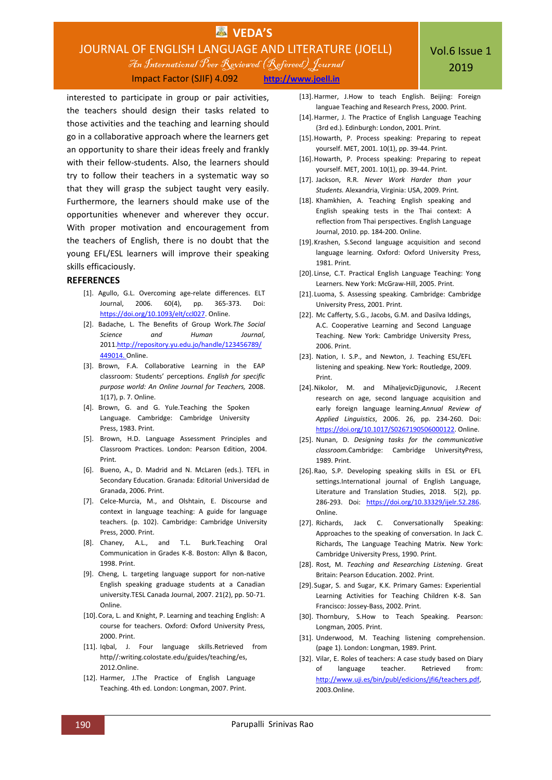## **VEDA'S** JOURNAL OF ENGLISH LANGUAGE AND LITERATURE (JOELL) An International Peer Reviewed (Refereed)Journal

Impact Factor (SJIF) 4.092 **[http://www.joell.in](http://www.joell.in/)**

interested to participate in group or pair activities, the teachers should design their tasks related to those activities and the teaching and learning should go in a collaborative approach where the learners get an opportunity to share their ideas freely and frankly with their fellow-students. Also, the learners should try to follow their teachers in a systematic way so that they will grasp the subject taught very easily. Furthermore, the learners should make use of the opportunities whenever and wherever they occur. With proper motivation and encouragement from the teachers of English, there is no doubt that the young EFL/ESL learners will improve their speaking skills efficaciously.

### **REFERENCES**

- [1]. Agullo, G.L. Overcoming age-relate differences. ELT Journal, 2006. 60(4), pp. 365-373. Doi: [https://doi.org/10.1093/elt/ccl027.](https://doi.org/10.1093/elt/ccl027) Online.
- [2]. Badache, L. The Benefits of Group Work.*The Social Science and Human Journal*, 201[1.http://repository.yu.edu.jo/handle/123456789/](http://repository.yu.edu.jo/handle/123456789/449014) [449014.](http://repository.yu.edu.jo/handle/123456789/449014) Online.
- [3]. Brown, F.A. Collaborative Learning in the EAP classroom: Students' perceptions. *English for specific purpose world: An Online Journal for Teachers,* 2008. 1(17), p. 7. Online.
- [4]. Brown, G. and G. Yule.Teaching the Spoken Language. Cambridge: Cambridge University Press, 1983. Print.
- [5]. Brown, H.D. Language Assessment Principles and Classroom Practices. London: Pearson Edition, 2004. Print.
- [6]. Bueno, A., D. Madrid and N. McLaren (eds.). TEFL in Secondary Education. Granada: Editorial Universidad de Granada, 2006. Print.
- [7]. Celce-Murcia, M., and Olshtain, E. Discourse and context in language teaching: A guide for language teachers. (p. 102). Cambridge: Cambridge University Press, 2000. Print.
- [8]. Chaney, A.L., and T.L. Burk.Teaching Oral Communication in Grades K-8. Boston: Allyn & Bacon, 1998. Print.
- [9]. Cheng, L. targeting language support for non-native English speaking graduage students at a Canadian university.TESL Canada Journal, 2007. 21(2), pp. 50-71. Online.
- [10].Cora, L. and Knight, P. Learning and teaching English: A course for teachers. Oxford: Oxford University Press, 2000. Print.
- [11]. Iqbal, J. Four language skills.Retrieved from http//:writing.colostate.edu/guides/teaching/es, 2012.Online.
- [12]. Harmer, J.The Practice of English Language Teaching. 4th ed. London: Longman, 2007. Print.
- [13].Harmer, J.How to teach English. Beijing: Foreign languae Teaching and Research Press, 2000. Print.
- [14].Harmer, J. The Practice of English Language Teaching (3rd ed.). Edinburgh: London, 2001. Print.
- [15].Howarth, P. Process speaking: Preparing to repeat yourself. MET, 2001. 10(1), pp. 39-44. Print.
- [16].Howarth, P. Process speaking: Preparing to repeat yourself. MET, 2001. 10(1), pp. 39-44. Print.
- [17]. Jackson, R.R. *Never Work Harder than your Students.* Alexandria, Virginia: USA, 2009. Print.
- [18]. Khamkhien, A. Teaching English speaking and English speaking tests in the Thai context: A reflection from Thai perspectives. English Language Journal, 2010. pp. 184-200. Online.
- [19].Krashen, S.Second language acquisition and second language learning. Oxford: Oxford University Press, 1981. Print.
- [20]. Linse, C.T. Practical English Language Teaching: Yong Learners. New York: McGraw-Hill, 2005. Print.
- [21]. Luoma, S. Assessing speaking. Cambridge: Cambridge University Press, 2001. Print.
- [22]. Mc Cafferty, S.G., Jacobs, G.M. and Dasilva Iddings, A.C. Cooperative Learning and Second Language Teaching. New York: Cambridge University Press, 2006. Print.
- [23]. Nation, I. S.P., and Newton, J. Teaching ESL/EFL listening and speaking. New York: Routledge, 2009. Print.
- [24].Nikolor, M. and MihaljevicDjigunovic, J.Recent research on age, second language acquisition and early foreign language learning.*Annual Review of Applied Linguistics*, 2006. 26, pp. 234-260. Doi: [https://doi.org/10.1017/S0267190506000122.](https://doi.org/10.1017/S0267190506000122) Online.
- [25]. Nunan, D. *Designing tasks for the communicative classroom.*Cambridge: Cambridge UniversityPress, 1989. Print.
- [26].Rao, S.P. Developing speaking skills in ESL or EFL settings.International journal of English Language, Literature and Translation Studies, 2018. 5(2), pp. 286-293. Doi: [https://doi.org/10.33329/ijelr.52.286.](https://doi.org/10.33329/ijelr.52.286)  Online.
- [27]. Richards, Jack C. Conversationally Speaking: Approaches to the speaking of conversation. In Jack C. Richards, The Language Teaching Matrix. New York: Cambridge University Press, 1990. Print.
- [28]. Rost, M. *Teaching and Researching Listening*. Great Britain: Pearson Education. 2002. Print.
- [29].Sugar, S. and Sugar, K.K. Primary Games: Experiential Learning Activities for Teaching Children K-8. San Francisco: Jossey-Bass, 2002. Print.
- [30]. Thornbury, S.How to Teach Speaking. Pearson: Longman, 2005. Print.
- [31]. Underwood, M. Teaching listening comprehension. (page 1). London: Longman, 1989. Print.
- [32]. Vilar, E. Roles of teachers: A case study based on Diary of language teacher. Retrieved from: [http://www.uji.es/bin/publ/edicions/jfi6/teachers.pdf,](http://www.uji.es/bin/publ/edicions/jfi6/teachers.pdf) 2003.Online.